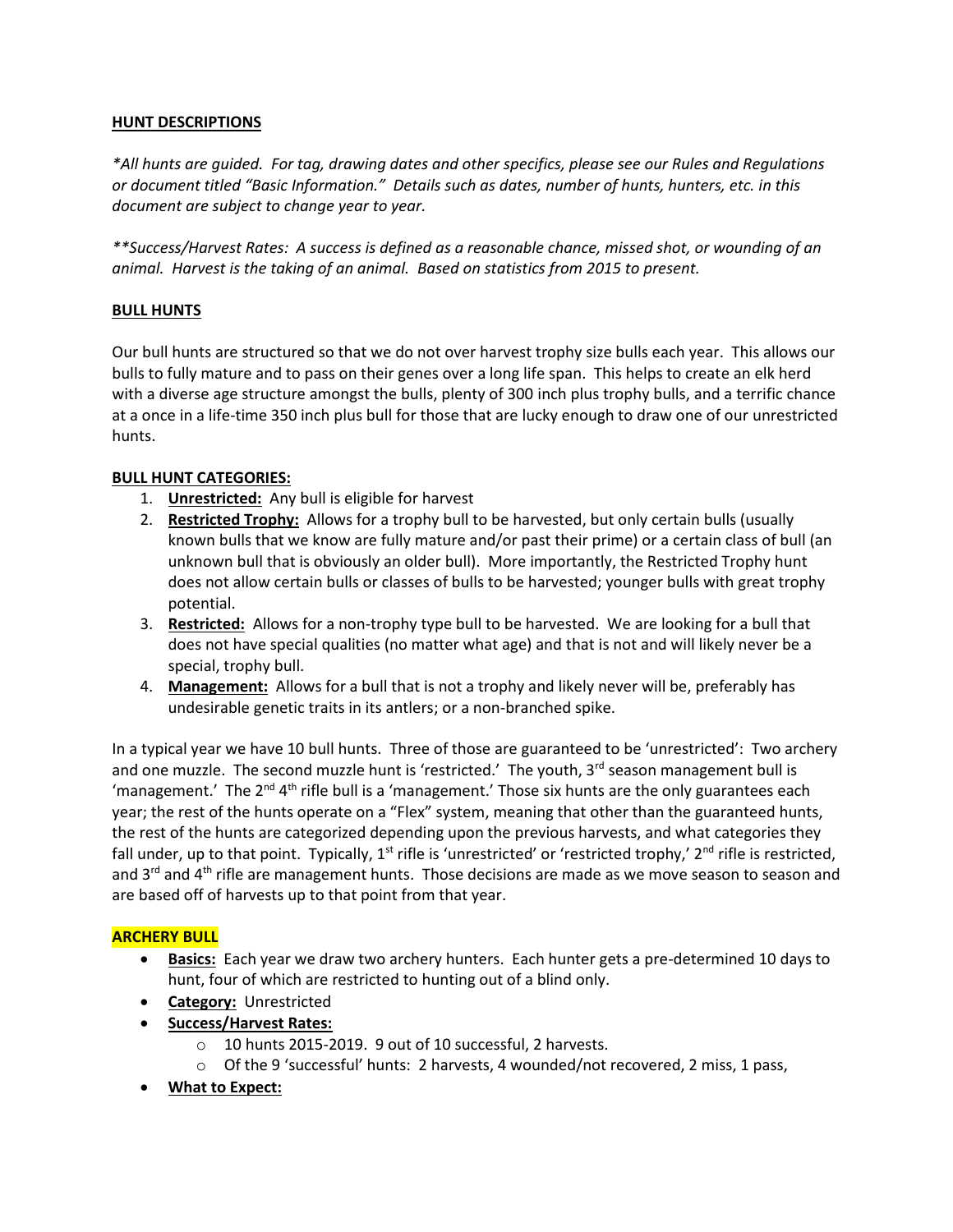### **HUNT DESCRIPTIONS**

*\*All hunts are guided. For tag, drawing dates and other specifics, please see our Rules and Regulations or document titled "Basic Information." Details such as dates, number of hunts, hunters, etc. in this document are subject to change year to year.*

*\*\*Success/Harvest Rates: A success is defined as a reasonable chance, missed shot, or wounding of an animal. Harvest is the taking of an animal. Based on statistics from 2015 to present.*

### **BULL HUNTS**

Our bull hunts are structured so that we do not over harvest trophy size bulls each year. This allows our bulls to fully mature and to pass on their genes over a long life span. This helps to create an elk herd with a diverse age structure amongst the bulls, plenty of 300 inch plus trophy bulls, and a terrific chance at a once in a life-time 350 inch plus bull for those that are lucky enough to draw one of our unrestricted hunts.

### **BULL HUNT CATEGORIES:**

- 1. **Unrestricted:** Any bull is eligible for harvest
- 2. **Restricted Trophy:** Allows for a trophy bull to be harvested, but only certain bulls (usually known bulls that we know are fully mature and/or past their prime) or a certain class of bull (an unknown bull that is obviously an older bull). More importantly, the Restricted Trophy hunt does not allow certain bulls or classes of bulls to be harvested; younger bulls with great trophy potential.
- 3. **Restricted:** Allows for a non-trophy type bull to be harvested. We are looking for a bull that does not have special qualities (no matter what age) and that is not and will likely never be a special, trophy bull.
- 4. **Management:** Allows for a bull that is not a trophy and likely never will be, preferably has undesirable genetic traits in its antlers; or a non-branched spike.

In a typical year we have 10 bull hunts. Three of those are guaranteed to be 'unrestricted': Two archery and one muzzle. The second muzzle hunt is 'restricted.' The youth, 3<sup>rd</sup> season management bull is 'management.' The 2<sup>nd</sup> 4<sup>th</sup> rifle bull is a 'management.' Those six hunts are the only guarantees each year; the rest of the hunts operate on a "Flex" system, meaning that other than the guaranteed hunts, the rest of the hunts are categorized depending upon the previous harvests, and what categories they fall under, up to that point. Typically, 1<sup>st</sup> rifle is 'unrestricted' or 'restricted trophy,' 2<sup>nd</sup> rifle is restricted, and  $3^{rd}$  and  $4^{th}$  rifle are management hunts. Those decisions are made as we move season to season and are based off of harvests up to that point from that year.

### **ARCHERY BULL**

- **Basics:** Each year we draw two archery hunters. Each hunter gets a pre-determined 10 days to hunt, four of which are restricted to hunting out of a blind only.
- **Category:** Unrestricted
- **Success/Harvest Rates:**
	- o 10 hunts 2015-2019. 9 out of 10 successful, 2 harvests.
	- o Of the 9 'successful' hunts: 2 harvests, 4 wounded/not recovered, 2 miss, 1 pass,
- **What to Expect:**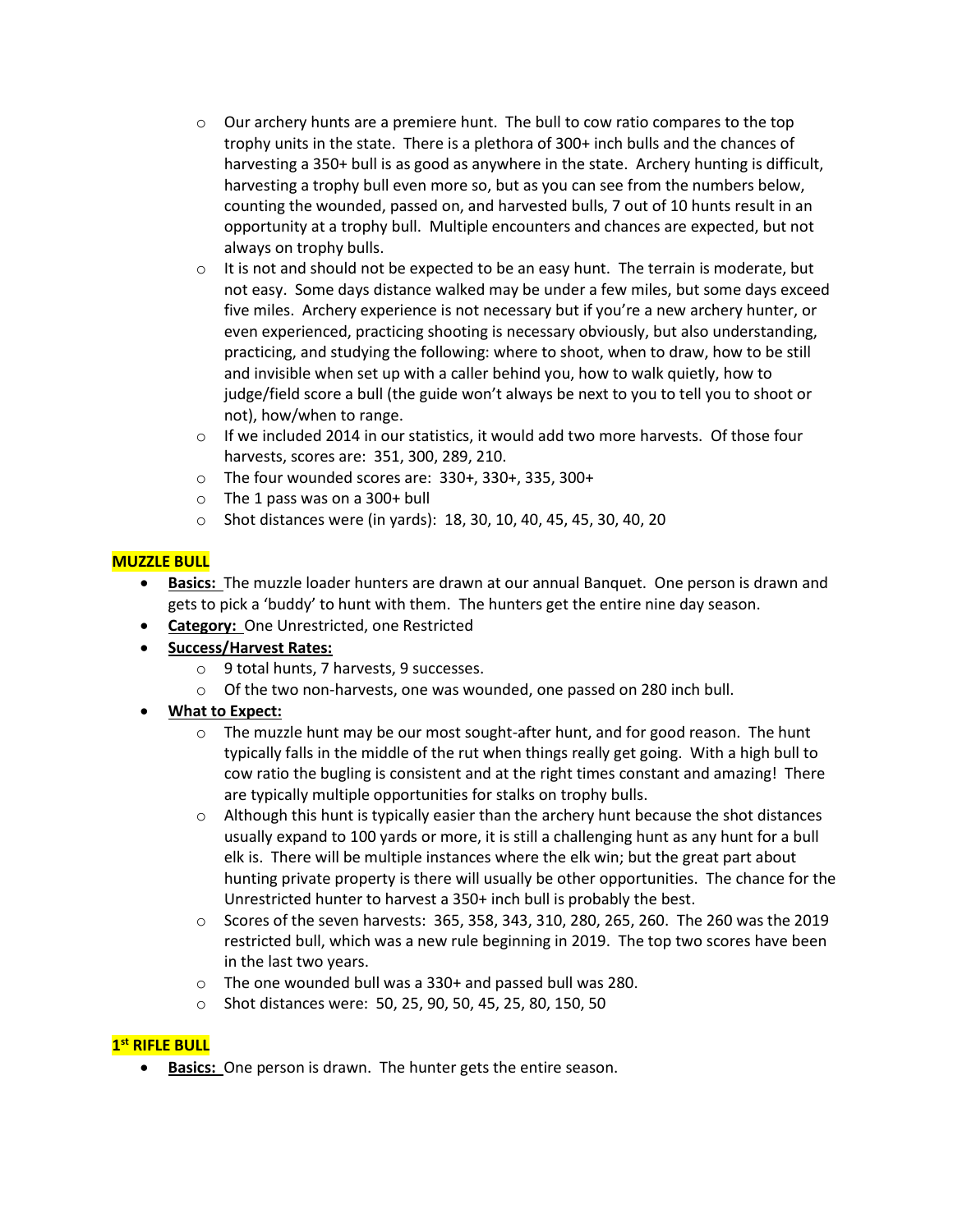- $\circ$  Our archery hunts are a premiere hunt. The bull to cow ratio compares to the top trophy units in the state. There is a plethora of 300+ inch bulls and the chances of harvesting a 350+ bull is as good as anywhere in the state. Archery hunting is difficult, harvesting a trophy bull even more so, but as you can see from the numbers below, counting the wounded, passed on, and harvested bulls, 7 out of 10 hunts result in an opportunity at a trophy bull. Multiple encounters and chances are expected, but not always on trophy bulls.
- $\circ$  It is not and should not be expected to be an easy hunt. The terrain is moderate, but not easy. Some days distance walked may be under a few miles, but some days exceed five miles. Archery experience is not necessary but if you're a new archery hunter, or even experienced, practicing shooting is necessary obviously, but also understanding, practicing, and studying the following: where to shoot, when to draw, how to be still and invisible when set up with a caller behind you, how to walk quietly, how to judge/field score a bull (the guide won't always be next to you to tell you to shoot or not), how/when to range.
- $\circ$  If we included 2014 in our statistics, it would add two more harvests. Of those four harvests, scores are: 351, 300, 289, 210.
- o The four wounded scores are: 330+, 330+, 335, 300+
- $\circ$  The 1 pass was on a 300+ bull
- o Shot distances were (in yards): 18, 30, 10, 40, 45, 45, 30, 40, 20

### **MUZZLE BULL**

- **Basics:** The muzzle loader hunters are drawn at our annual Banquet. One person is drawn and gets to pick a 'buddy' to hunt with them. The hunters get the entire nine day season.
- **Category:** One Unrestricted, one Restricted
- **Success/Harvest Rates:** 
	- o 9 total hunts, 7 harvests, 9 successes.
	- $\circ$  Of the two non-harvests, one was wounded, one passed on 280 inch bull.
- **What to Expect:**
	- $\circ$  The muzzle hunt may be our most sought-after hunt, and for good reason. The hunt typically falls in the middle of the rut when things really get going. With a high bull to cow ratio the bugling is consistent and at the right times constant and amazing! There are typically multiple opportunities for stalks on trophy bulls.
	- $\circ$  Although this hunt is typically easier than the archery hunt because the shot distances usually expand to 100 yards or more, it is still a challenging hunt as any hunt for a bull elk is. There will be multiple instances where the elk win; but the great part about hunting private property is there will usually be other opportunities. The chance for the Unrestricted hunter to harvest a 350+ inch bull is probably the best.
	- $\circ$  Scores of the seven harvests: 365, 358, 343, 310, 280, 265, 260. The 260 was the 2019 restricted bull, which was a new rule beginning in 2019. The top two scores have been in the last two years.
	- o The one wounded bull was a 330+ and passed bull was 280.
	- o Shot distances were: 50, 25, 90, 50, 45, 25, 80, 150, 50

# **1 st RIFLE BULL**

**Basics:** One person is drawn. The hunter gets the entire season.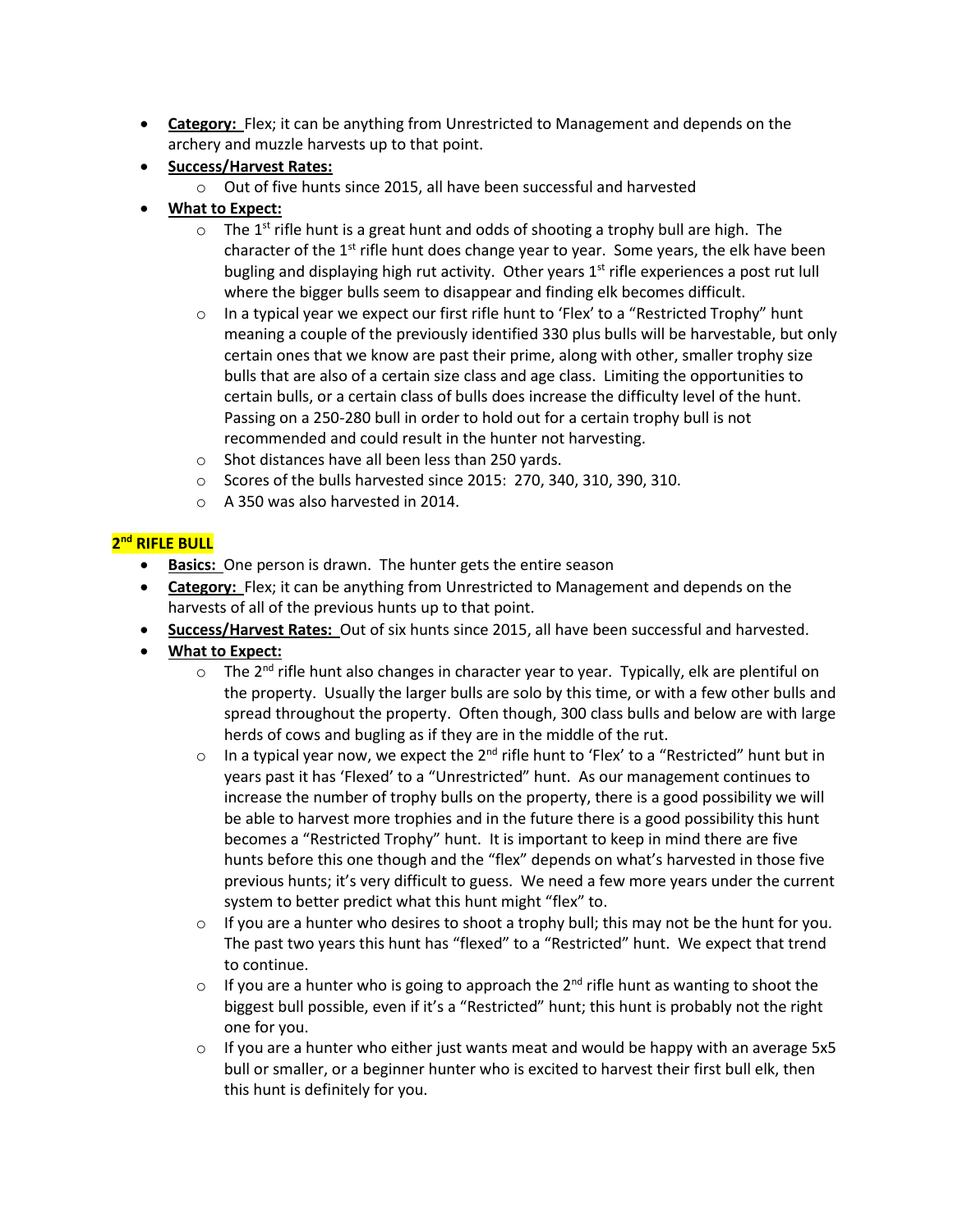- **Category:** Flex; it can be anything from Unrestricted to Management and depends on the archery and muzzle harvests up to that point.
- **Success/Harvest Rates:** 
	- o Out of five hunts since 2015, all have been successful and harvested
- **What to Expect:**
	- $\circ$  The 1<sup>st</sup> rifle hunt is a great hunt and odds of shooting a trophy bull are high. The character of the 1<sup>st</sup> rifle hunt does change year to year. Some years, the elk have been bugling and displaying high rut activity. Other years  $1<sup>st</sup>$  rifle experiences a post rut lull where the bigger bulls seem to disappear and finding elk becomes difficult.
	- $\circ$  In a typical year we expect our first rifle hunt to 'Flex' to a "Restricted Trophy" hunt meaning a couple of the previously identified 330 plus bulls will be harvestable, but only certain ones that we know are past their prime, along with other, smaller trophy size bulls that are also of a certain size class and age class. Limiting the opportunities to certain bulls, or a certain class of bulls does increase the difficulty level of the hunt. Passing on a 250-280 bull in order to hold out for a certain trophy bull is not recommended and could result in the hunter not harvesting.
	- o Shot distances have all been less than 250 yards.
	- o Scores of the bulls harvested since 2015: 270, 340, 310, 390, 310.
	- o A 350 was also harvested in 2014.

### **2 nd RIFLE BULL**

- **Basics:** One person is drawn. The hunter gets the entire season
- **Category:** Flex; it can be anything from Unrestricted to Management and depends on the harvests of all of the previous hunts up to that point.
- **Success/Harvest Rates:** Out of six hunts since 2015, all have been successful and harvested.
- **What to Expect:**
	- $\circ$  The 2<sup>nd</sup> rifle hunt also changes in character year to year. Typically, elk are plentiful on the property. Usually the larger bulls are solo by this time, or with a few other bulls and spread throughout the property. Often though, 300 class bulls and below are with large herds of cows and bugling as if they are in the middle of the rut.
	- $\circ$  In a typical year now, we expect the 2<sup>nd</sup> rifle hunt to 'Flex' to a "Restricted" hunt but in years past it has 'Flexed' to a "Unrestricted" hunt. As our management continues to increase the number of trophy bulls on the property, there is a good possibility we will be able to harvest more trophies and in the future there is a good possibility this hunt becomes a "Restricted Trophy" hunt. It is important to keep in mind there are five hunts before this one though and the "flex" depends on what's harvested in those five previous hunts; it's very difficult to guess. We need a few more years under the current system to better predict what this hunt might "flex" to.
	- $\circ$  If you are a hunter who desires to shoot a trophy bull; this may not be the hunt for you. The past two years this hunt has "flexed" to a "Restricted" hunt. We expect that trend to continue.
	- $\circ$  If you are a hunter who is going to approach the 2<sup>nd</sup> rifle hunt as wanting to shoot the biggest bull possible, even if it's a "Restricted" hunt; this hunt is probably not the right one for you.
	- $\circ$  If you are a hunter who either just wants meat and would be happy with an average 5x5 bull or smaller, or a beginner hunter who is excited to harvest their first bull elk, then this hunt is definitely for you.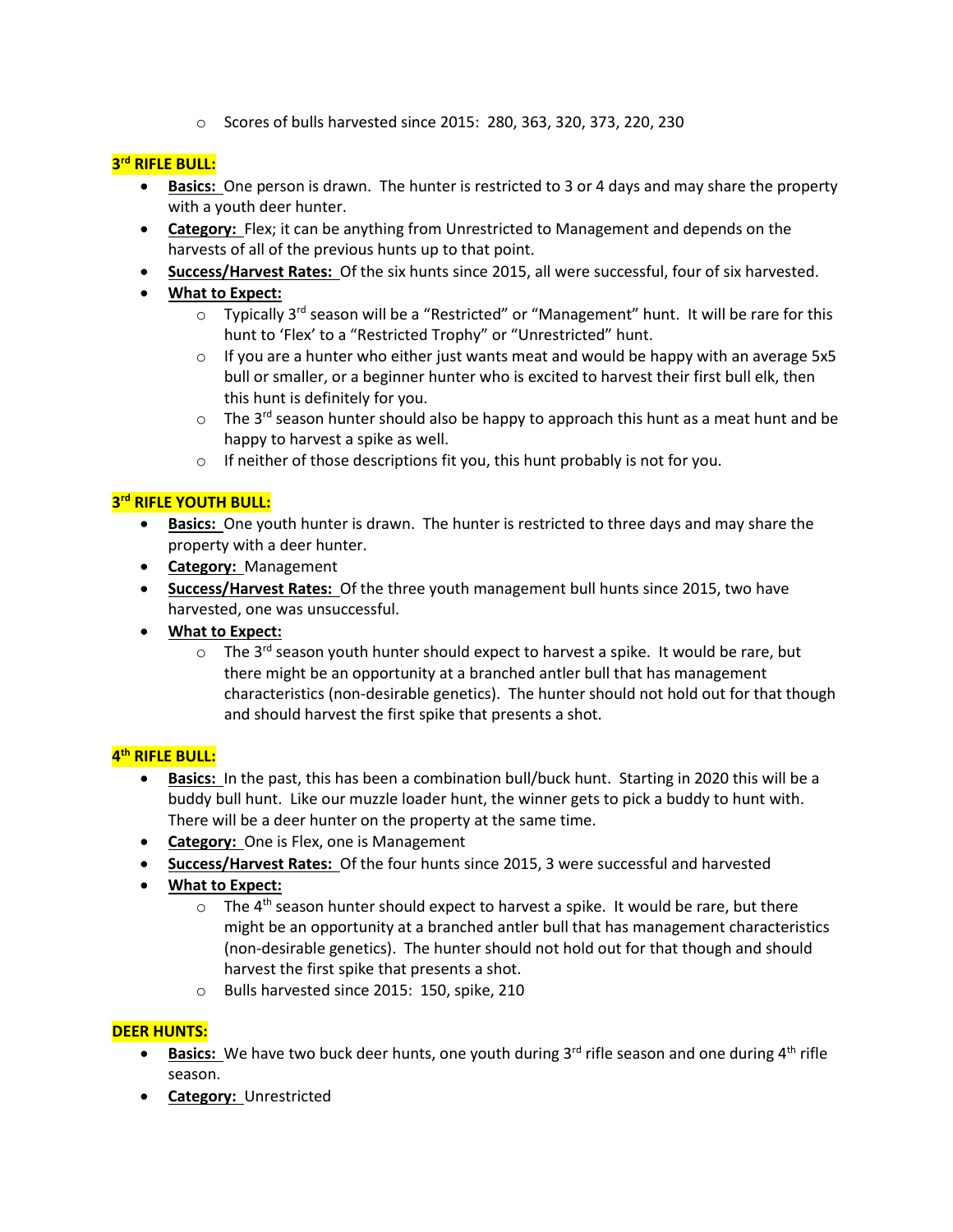o Scores of bulls harvested since 2015: 280, 363, 320, 373, 220, 230

# **3 rd RIFLE BULL:**

- **Basics:** One person is drawn. The hunter is restricted to 3 or 4 days and may share the property with a youth deer hunter.
- **Category:** Flex; it can be anything from Unrestricted to Management and depends on the harvests of all of the previous hunts up to that point.
- **Success/Harvest Rates:** Of the six hunts since 2015, all were successful, four of six harvested.
- **What to Expect:**
	- o Typically 3<sup>rd</sup> season will be a "Restricted" or "Management" hunt. It will be rare for this hunt to 'Flex' to a "Restricted Trophy" or "Unrestricted" hunt.
	- $\circ$  If you are a hunter who either just wants meat and would be happy with an average 5x5 bull or smaller, or a beginner hunter who is excited to harvest their first bull elk, then this hunt is definitely for you.
	- $\circ$  The 3<sup>rd</sup> season hunter should also be happy to approach this hunt as a meat hunt and be happy to harvest a spike as well.
	- o If neither of those descriptions fit you, this hunt probably is not for you.

# **3 rd RIFLE YOUTH BULL:**

- **Basics:** One youth hunter is drawn. The hunter is restricted to three days and may share the property with a deer hunter.
- **Category:** Management
- **Success/Harvest Rates:** Of the three youth management bull hunts since 2015, two have harvested, one was unsuccessful.
- **What to Expect:** 
	- $\circ$  The 3<sup>rd</sup> season youth hunter should expect to harvest a spike. It would be rare, but there might be an opportunity at a branched antler bull that has management characteristics (non-desirable genetics). The hunter should not hold out for that though and should harvest the first spike that presents a shot.

# **4 th RIFLE BULL:**

- **Basics:** In the past, this has been a combination bull/buck hunt. Starting in 2020 this will be a buddy bull hunt. Like our muzzle loader hunt, the winner gets to pick a buddy to hunt with. There will be a deer hunter on the property at the same time.
- **Category:** One is Flex, one is Management
- **Success/Harvest Rates:** Of the four hunts since 2015, 3 were successful and harvested
- **What to Expect:**
	- $\circ$  The 4<sup>th</sup> season hunter should expect to harvest a spike. It would be rare, but there might be an opportunity at a branched antler bull that has management characteristics (non-desirable genetics). The hunter should not hold out for that though and should harvest the first spike that presents a shot.
	- o Bulls harvested since 2015: 150, spike, 210

### **DEER HUNTS:**

- **Basics:** We have two buck deer hunts, one youth during  $3<sup>rd</sup>$  rifle season and one during  $4<sup>th</sup>$  rifle season.
- **Category:** Unrestricted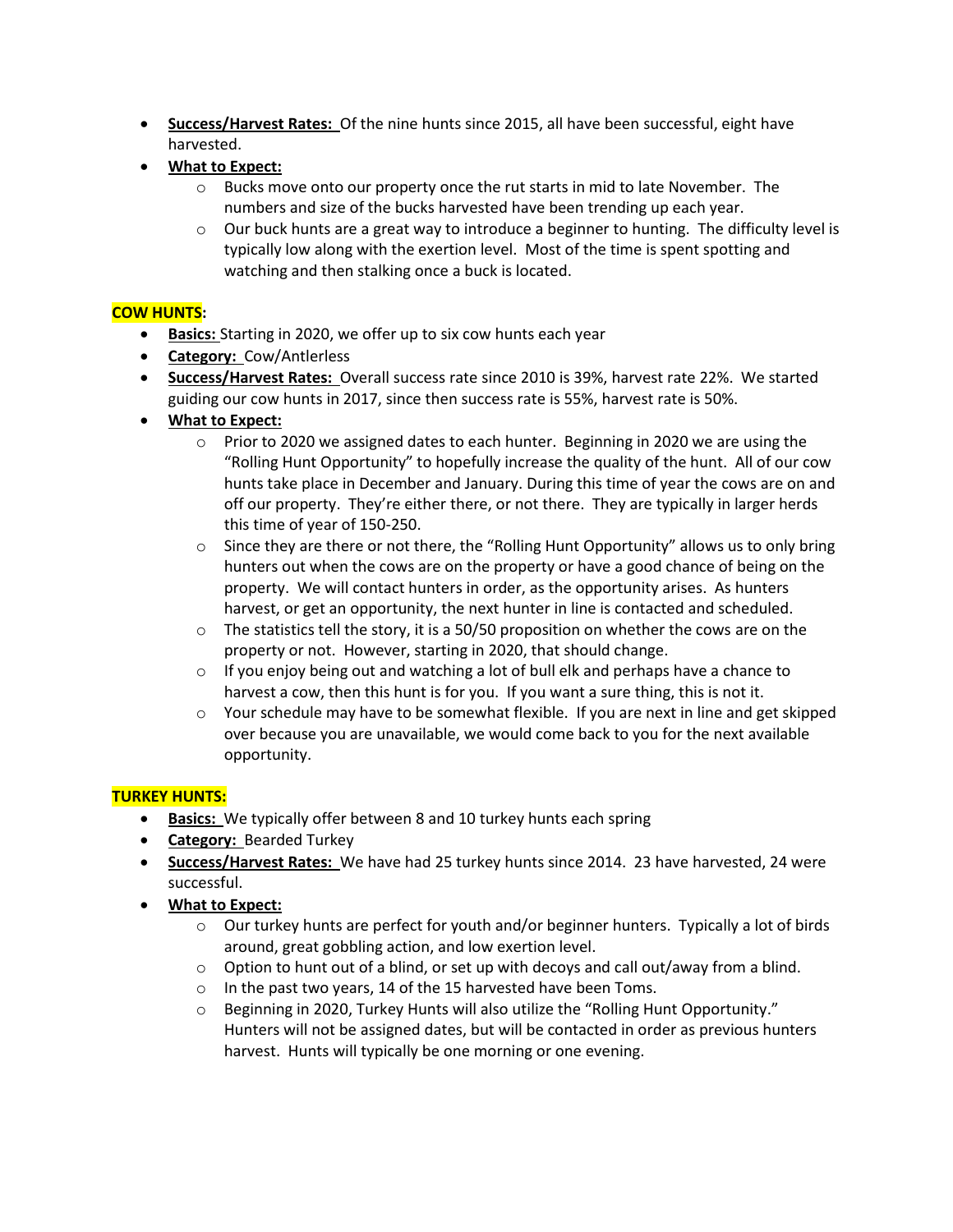- **Success/Harvest Rates:** Of the nine hunts since 2015, all have been successful, eight have harvested.
- **What to Expect:**
	- o Bucks move onto our property once the rut starts in mid to late November. The numbers and size of the bucks harvested have been trending up each year.
	- $\circ$  Our buck hunts are a great way to introduce a beginner to hunting. The difficulty level is typically low along with the exertion level. Most of the time is spent spotting and watching and then stalking once a buck is located.

### **COW HUNTS:**

- **Basics:** Starting in 2020, we offer up to six cow hunts each year
- **Category:** Cow/Antlerless
- **Success/Harvest Rates:** Overall success rate since 2010 is 39%, harvest rate 22%. We started guiding our cow hunts in 2017, since then success rate is 55%, harvest rate is 50%.
- **What to Expect:**
	- o Prior to 2020 we assigned dates to each hunter. Beginning in 2020 we are using the "Rolling Hunt Opportunity" to hopefully increase the quality of the hunt. All of our cow hunts take place in December and January. During this time of year the cows are on and off our property. They're either there, or not there. They are typically in larger herds this time of year of 150-250.
	- $\circ$  Since they are there or not there, the "Rolling Hunt Opportunity" allows us to only bring hunters out when the cows are on the property or have a good chance of being on the property. We will contact hunters in order, as the opportunity arises. As hunters harvest, or get an opportunity, the next hunter in line is contacted and scheduled.
	- $\circ$  The statistics tell the story, it is a 50/50 proposition on whether the cows are on the property or not. However, starting in 2020, that should change.
	- $\circ$  If you enjoy being out and watching a lot of bull elk and perhaps have a chance to harvest a cow, then this hunt is for you. If you want a sure thing, this is not it.
	- $\circ$  Your schedule may have to be somewhat flexible. If you are next in line and get skipped over because you are unavailable, we would come back to you for the next available opportunity.

### **TURKEY HUNTS:**

- **Basics:** We typically offer between 8 and 10 turkey hunts each spring
- **Category:** Bearded Turkey
- **Success/Harvest Rates:** We have had 25 turkey hunts since 2014. 23 have harvested, 24 were successful.
- **What to Expect:**
	- $\circ$  Our turkey hunts are perfect for youth and/or beginner hunters. Typically a lot of birds around, great gobbling action, and low exertion level.
	- $\circ$  Option to hunt out of a blind, or set up with decoys and call out/away from a blind.
	- o In the past two years, 14 of the 15 harvested have been Toms.
	- o Beginning in 2020, Turkey Hunts will also utilize the "Rolling Hunt Opportunity." Hunters will not be assigned dates, but will be contacted in order as previous hunters harvest. Hunts will typically be one morning or one evening.